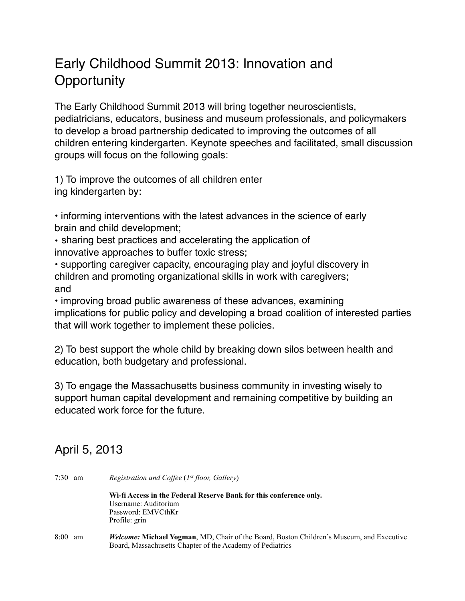## Early Childhood Summit 2013: Innovation and **Opportunity**

The Early Childhood Summit 2013 will bring together neuroscientists, pediatricians, educators, business and museum professionals, and policymakers to develop a broad partnership dedicated to improving the outcomes of all children entering kindergarten. Keynote speeches and facilitated, small discussion groups will focus on the following goals:

1) To improve the outcomes of all children enter ing kindergarten by:

• informing interventions with the latest advances in the science of early brain and child development;

• sharing best practices and accelerating the application of innovative approaches to buffer toxic stress;

• supporting caregiver capacity, encouraging play and joyful discovery in children and promoting organizational skills in work with caregivers; and

• improving broad public awareness of these advances, examining implications for public policy and developing a broad coalition of interested parties that will work together to implement these policies.

2) To best support the whole child by breaking down silos between health and education, both budgetary and professional.

3) To engage the Massachusetts business community in investing wisely to support human capital development and remaining competitive by building an educated work force for the future.

## April 5, 2013

| $7:30 \text{ am}$ | <i>Registration and Coffee (1st floor, Gallery)</i>                                             |
|-------------------|-------------------------------------------------------------------------------------------------|
|                   | Wi-fi Access in the Federal Reserve Bank for this conference only.                              |
|                   | Username: Auditorium                                                                            |
|                   | Password: EMVCthKr                                                                              |
|                   | Profile: grin                                                                                   |
| 8:00<br>am        | <i>Welcome:</i> Michael Yogman, MD, Chair of the Board, Boston Children's Museum, and Executive |
|                   | Board, Massachusetts Chapter of the Academy of Pediatrics                                       |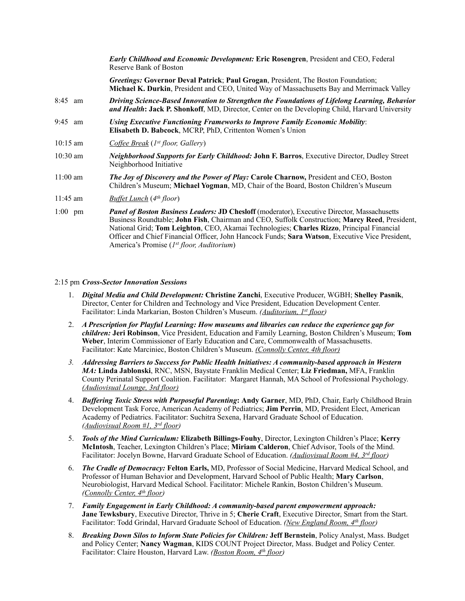|            | <b>Early Childhood and Economic Development: Eric Rosengren, President and CEO, Federal</b><br>Reserve Bank of Boston                                                                                                                                                                                                                                                                                                                              |
|------------|----------------------------------------------------------------------------------------------------------------------------------------------------------------------------------------------------------------------------------------------------------------------------------------------------------------------------------------------------------------------------------------------------------------------------------------------------|
|            | Greetings: Governor Deval Patrick; Paul Grogan, President, The Boston Foundation;<br>Michael K. Durkin, President and CEO, United Way of Massachusetts Bay and Merrimack Valley                                                                                                                                                                                                                                                                    |
| 8:45 am    | Driving Science-Based Innovation to Strengthen the Foundations of Lifelong Learning, Behavior<br>and Health: Jack P. Shonkoff, MD, Director, Center on the Developing Child, Harvard University                                                                                                                                                                                                                                                    |
| 9:45 am    | Using Executive Functioning Frameworks to Improve Family Economic Mobility:<br>Elisabeth D. Babcock, MCRP, PhD, Crittenton Women's Union                                                                                                                                                                                                                                                                                                           |
| $10:15$ am | <i>Coffee Break</i> ( <i>1<sup>st</sup> floor, Gallery</i> )                                                                                                                                                                                                                                                                                                                                                                                       |
| $10:30$ am | Neighborhood Supports for Early Childhood: John F. Barros, Executive Director, Dudley Street<br>Neighborhood Initiative                                                                                                                                                                                                                                                                                                                            |
| $11:00$ am | <b>The Joy of Discovery and the Power of Play: Carole Charnow, President and CEO, Boston</b><br>Children's Museum; Michael Yogman, MD, Chair of the Board, Boston Children's Museum                                                                                                                                                                                                                                                                |
| $11:45$ am | <b>Buffet Lunch</b> (4 <sup>th</sup> floor)                                                                                                                                                                                                                                                                                                                                                                                                        |
| $1:00$ pm  | <b>Panel of Boston Business Leaders: JD Chesloff</b> (moderator), Executive Director, Massachusetts<br>Business Roundtable; John Fish, Chairman and CEO, Suffolk Construction; Marcy Reed, President,<br>National Grid; Tom Leighton, CEO, Akamai Technologies; Charles Rizzo, Principal Financial<br>Officer and Chief Financial Officer, John Hancock Funds; Sara Watson, Executive Vice President,<br>America's Promise (1st floor, Auditorium) |

## 2:15 pm *Cross-Sector Innovation Sessions*

- 1. *Digital Media and Child Development:* **Christine Zanchi**, Executive Producer, WGBH; **Shelley Pasnik**, Director, Center for Children and Technology and Vice President, Education Development Center. Facilitator: Linda Markarian, Boston Children's Museum. *(Auditorium, 1st floor)*
- 2. *A Prescription for Playful Learning: How museums and libraries can reduce the experience gap for children:* **Jeri Robinson**, Vice President, Education and Family Learning, Boston Children's Museum; **Tom Weber**, Interim Commissioner of Early Education and Care, Commonwealth of Massachusetts. Facilitator: Kate Marciniec, Boston Children's Museum. *(Connolly Center, 4th floor)*
- *3. Addressing Barriers to Success for Public Health Initiatives: A community-based approach in Western MA:* **Linda Jablonski**, RNC, MSN, Baystate Franklin Medical Center; **Liz Friedman,** MFA, Franklin County Perinatal Support Coalition. Facilitator: Margaret Hannah, MA School of Professional Psychology. *(Audiovisual Lounge, 3rd floor)*
- 4. *Buffering Toxic Stress with Purposeful Parenting***: Andy Garner**, MD, PhD, Chair, Early Childhood Brain Development Task Force, American Academy of Pediatrics; **Jim Perrin**, MD, President Elect, American Academy of Pediatrics. Facilitator: Suchitra Sexena, Harvard Graduate School of Education. *(Audiovisual Room #1, 3rd floor)*
- 5. *Tools of the Mind Curriculum:* **Elizabeth Billings-Fouhy**, Director, Lexington Children's Place; **Kerry McIntosh**, Teacher, Lexington Children's Place; **Miriam Calderon**, Chief Advisor, Tools of the Mind. Facilitator: Jocelyn Bowne, Harvard Graduate School of Education. *(Audiovisual Room #4, 3rd floor)*
- 6. *The Cradle of Democracy:* **Felton Earls,** MD, Professor of Social Medicine, Harvard Medical School, and Professor of Human Behavior and Development, Harvard School of Public Health; **Mary Carlson**, Neurobiologist, Harvard Medical School. Facilitator: Michele Rankin, Boston Children's Museum. *(Connolly Center, 4th floor)*
- 7. *Family Engagement in Early Childhood: A community-based parent empowerment approach:*  **Jane Tewksbury**, Executive Director, Thrive in 5; **Cherie Craft**, Executive Director, Smart from the Start. Facilitator: Todd Grindal, Harvard Graduate School of Education. *(New England Room, 4th floor)*
- 8. *Breaking Down Silos to Inform State Policies for Children:* **Jeff Bernstein**, Policy Analyst, Mass. Budget and Policy Center; **Nancy Wagman**, KIDS COUNT Project Director, Mass. Budget and Policy Center. Facilitator: Claire Houston, Harvard Law. *(Boston Room, 4th floor)*